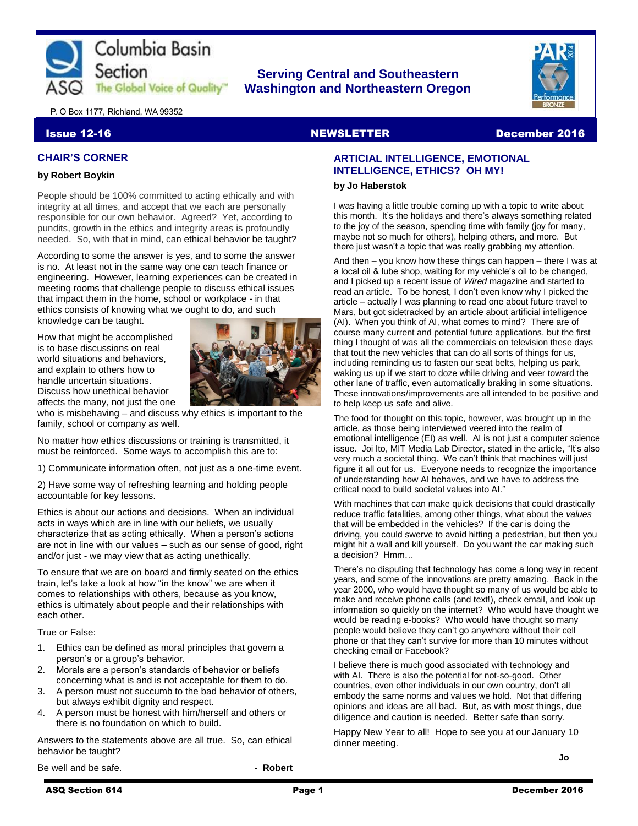

## **Serving Central and Southeastern The Global Voice of Quality Washington and Northeastern Oregon**



P. O Box 1177, Richland, WA 99352

#### **Issue 12-16** NewsLETTER December 2016

#### **CHAIR'S CORNER**

#### **by Robert Boykin**

People should be 100% committed to acting ethically and with integrity at all times, and accept that we each are personally responsible for our own behavior. Agreed? Yet, according to pundits, growth in the ethics and integrity areas is profoundly needed. So, with that in mind, can ethical behavior be taught?

According to some the answer is yes, and to some the answer is no. At least not in the same way one can teach finance or engineering. However, learning experiences can be created in meeting rooms that challenge people to discuss ethical issues that impact them in the home, school or workplace - in that ethics consists of knowing what we ought to do, and such knowledge can be taught.

How that might be accomplished is to base discussions on real world situations and behaviors. and explain to others how to handle uncertain situations. Discuss how unethical behavior affects the many, not just the one



who is misbehaving – and discuss why ethics is important to the family, school or company as well.

No matter how ethics discussions or training is transmitted, it must be reinforced. Some ways to accomplish this are to:

1) Communicate information often, not just as a one-time event.

2) Have some way of refreshing learning and holding people accountable for key lessons.

Ethics is about our actions and decisions. When an individual acts in ways which are in line with our beliefs, we usually characterize that as acting ethically. When a person's actions are not in line with our values – such as our sense of good, right and/or just - we may view that as acting unethically.

To ensure that we are on board and firmly seated on the ethics train, let's take a look at how "in the know" we are when it comes to relationships with others, because as you know, ethics is ultimately about people and their relationships with each other.

True or False:

- 1. Ethics can be defined as moral principles that govern a person's or a group's behavior.
- 2. Morals are a person's standards of behavior or beliefs concerning what is and is not acceptable for them to do.
- 3. A person must not succumb to the bad behavior of others, but always exhibit dignity and respect.
- 4. A person must be honest with him/herself and others or there is no foundation on which to build.

Answers to the statements above are all true. So, can ethical behavior be taught?

Be well and be safe. **and he safe. - Robert** 

## **ARTICIAL INTELLIGENCE, EMOTIONAL INTELLIGENCE, ETHICS? OH MY!**

#### **by Jo Haberstok**

I was having a little trouble coming up with a topic to write about this month. It's the holidays and there's always something related to the joy of the season, spending time with family (joy for many, maybe not so much for others), helping others, and more. But there just wasn't a topic that was really grabbing my attention.

And then – you know how these things can happen – there I was at a local oil & lube shop, waiting for my vehicle's oil to be changed, and I picked up a recent issue of *Wired* magazine and started to read an article. To be honest, I don't even know why I picked the article – actually I was planning to read one about future travel to Mars, but got sidetracked by an article about artificial intelligence (AI). When you think of AI, what comes to mind? There are of course many current and potential future applications, but the first thing I thought of was all the commercials on television these days that tout the new vehicles that can do all sorts of things for us, including reminding us to fasten our seat belts, helping us park, waking us up if we start to doze while driving and veer toward the other lane of traffic, even automatically braking in some situations. These innovations/improvements are all intended to be positive and to help keep us safe and alive.

The food for thought on this topic, however, was brought up in the article, as those being interviewed veered into the realm of emotional intelligence (EI) as well. AI is not just a computer science issue. Joi Ito, MIT Media Lab Director, stated in the article, "It's also very much a societal thing. We can't think that machines will just figure it all out for us. Everyone needs to recognize the importance of understanding how AI behaves, and we have to address the critical need to build societal values into AI."

With machines that can make quick decisions that could drastically reduce traffic fatalities, among other things, what about the *values* that will be embedded in the vehicles? If the car is doing the driving, you could swerve to avoid hitting a pedestrian, but then you might hit a wall and kill yourself. Do you want the car making such a decision? Hmm…

There's no disputing that technology has come a long way in recent years, and some of the innovations are pretty amazing. Back in the year 2000, who would have thought so many of us would be able to make and receive phone calls (and text!), check email, and look up information so quickly on the internet? Who would have thought we would be reading e-books? Who would have thought so many people would believe they can't go anywhere without their cell phone or that they can't survive for more than 10 minutes without checking email or Facebook?

I believe there is much good associated with technology and with AI. There is also the potential for not-so-good. Other countries, even other individuals in our own country, don't all embody the same norms and values we hold. Not that differing opinions and ideas are all bad. But, as with most things, due diligence and caution is needed. Better safe than sorry.

Happy New Year to all! Hope to see you at our January 10 dinner meeting.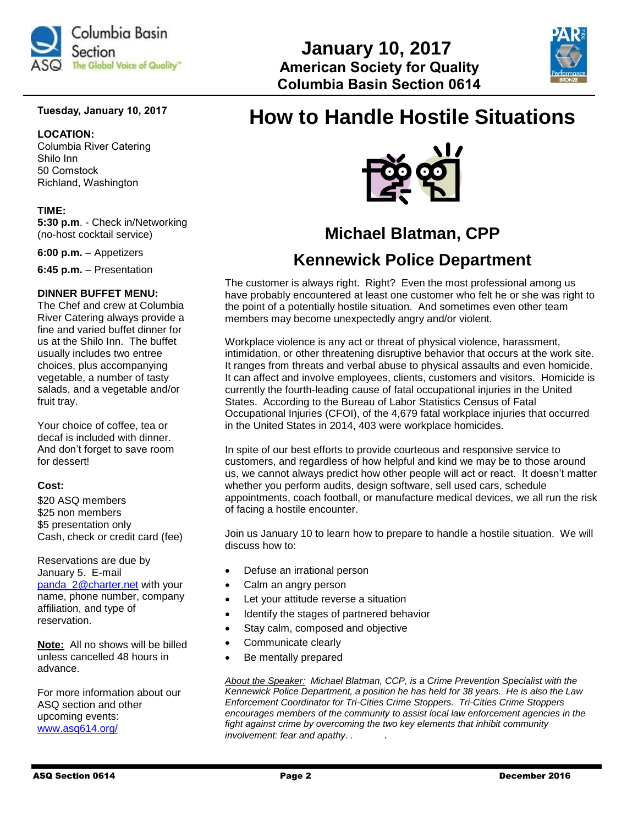

### **Tuesday, January 10, 2017**

#### **LOCATION:**

Columbia River Catering Shilo Inn 50 Comstock Richland, Washington

#### **TIME:**

**5:30 p.m**. - Check in/Networking (no-host cocktail service)

**6:00 p.m.** – Appetizers

**6:45 p.m.** – Presentation

#### **DINNER BUFFET MENU:**

The Chef and crew at Columbia River Catering always provide a fine and varied buffet dinner for us at the Shilo Inn. The buffet usually includes two entree choices, plus accompanying vegetable, a number of tasty salads, and a vegetable and/or fruit tray.

Your choice of coffee, tea or decaf is included with dinner. And don't forget to save room for dessert!

#### **Cost:**

\$20 ASQ members \$25 non members \$5 presentation only Cash, check or credit card (fee)

Reservations are due by January 5. E-mail [panda\\_2@charter.net](mailto:panda_2@charter.net) with your name, phone number, company affiliation, and type of reservation.

**Note:** All no shows will be billed unless cancelled 48 hours in advance.

For more information about our ASQ section and other upcoming events: [www.asq614.org/](http://www.asq614.org/)

# **How to Handle Hostile Situations**

 **January 10, 2017**

 **Columbia Basin Section 0614**



## **Michael Blatman, CPP**

## **Kennewick Police Department**

The customer is always right. Right? Even the most professional among us have probably encountered at least one customer who felt he or she was right to the point of a potentially hostile situation. And sometimes even other team members may become unexpectedly angry and/or violent.

Workplace violence is any act or threat of physical violence, harassment, intimidation, or other threatening disruptive behavior that occurs at the work site. It ranges from threats and verbal abuse to physical assaults and even homicide. It can affect and involve employees, clients, customers and visitors. Homicide is currently the fourth-leading cause of fatal occupational injuries in the United States. According to the Bureau of Labor Statistics Census of Fatal Occupational Injuries (CFOI), of the 4,679 fatal workplace injuries that occurred in the United States in 2014, 403 were workplace homicides.

In spite of our best efforts to provide courteous and responsive service to customers, and regardless of how helpful and kind we may be to those around us, we cannot always predict how other people will act or react. It doesn't matter whether you perform audits, design software, sell used cars, schedule appointments, coach football, or manufacture medical devices, we all run the risk of facing a hostile encounter.

Join us January 10 to learn how to prepare to handle a hostile situation. We will discuss how to:

- Defuse an irrational person
- Calm an angry person
- Let your attitude reverse a situation
- Identify the stages of partnered behavior
- Stay calm, composed and objective
- Communicate clearly
- Be mentally prepared

*About the Speaker: Michael Blatman, CCP, is a Crime Prevention Specialist with the Kennewick Police Department, a position he has held for 38 years. He is also the Law Enforcement Coordinator for Tri-Cities Crime Stoppers. Tri-Cities Crime Stoppers encourages members of the community to assist local law enforcement agencies in the fight against crime by overcoming the two key elements that inhibit community involvement: fear and apathy. . .*

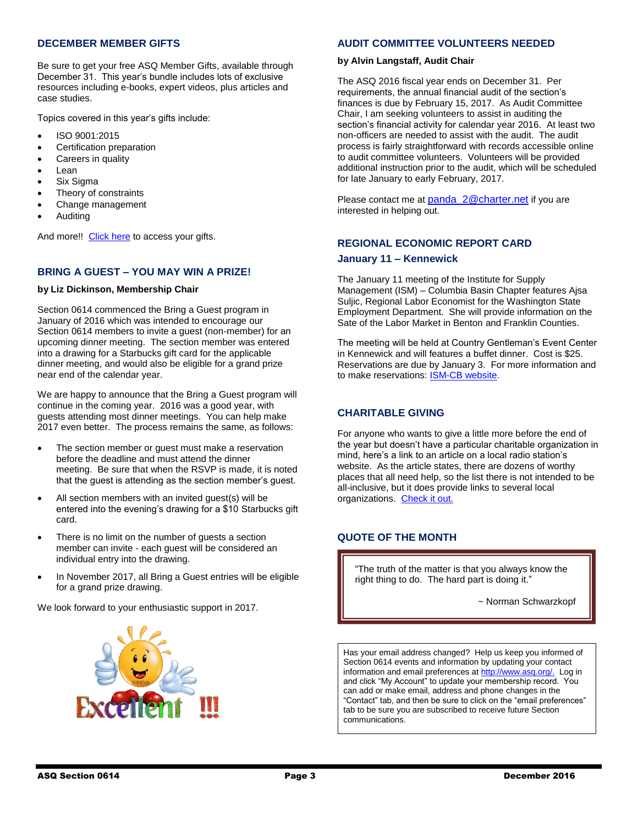#### **DECEMBER MEMBER GIFTS**

Be sure to get your free ASQ Member Gifts, available through December 31. This year's bundle includes lots of exclusive resources including e-books, expert videos, plus articles and case studies.

Topics covered in this year's gifts include:

- ISO 9001:2015
- Certification preparation
- Careers in quality
- Lean
- Six Sigma
- Theory of constraints
- Change management
- **Auditing**

And more!! [Click here](https://asq.org/account/login?prvurl=http://asq.org/membership/members/gift/?utm_source=email&utm_medium=email&utm_campaign=marketing_decmembergift_120116) to access your gifts.

### **BRING A GUEST – YOU MAY WIN A PRIZE!**

#### **by Liz Dickinson, Membership Chair**

Section 0614 commenced the Bring a Guest program in January of 2016 which was intended to encourage our Section 0614 members to invite a guest (non-member) for an upcoming dinner meeting. The section member was entered into a drawing for a Starbucks gift card for the applicable dinner meeting, and would also be eligible for a grand prize near end of the calendar year.

We are happy to announce that the Bring a Guest program will continue in the coming year. 2016 was a good year, with guests attending most dinner meetings. You can help make 2017 even better. The process remains the same, as follows:

- The section member or guest must make a reservation before the deadline and must attend the dinner meeting. Be sure that when the RSVP is made, it is noted that the guest is attending as the section member's guest.
- All section members with an invited guest(s) will be entered into the evening's drawing for a \$10 Starbucks gift card.
- There is no limit on the number of guests a section member can invite - each guest will be considered an individual entry into the drawing.
- In November 2017, all Bring a Guest entries will be eligible for a grand prize drawing.

We look forward to your enthusiastic support in 2017.



#### **AUDIT COMMITTEE VOLUNTEERS NEEDED**

#### **by Alvin Langstaff, Audit Chair**

The ASQ 2016 fiscal year ends on December 31. Per requirements, the annual financial audit of the section's finances is due by February 15, 2017. As Audit Committee Chair, I am seeking volunteers to assist in auditing the section's financial activity for calendar year 2016. At least two non-officers are needed to assist with the audit. The audit process is fairly straightforward with records accessible online to audit committee volunteers. Volunteers will be provided additional instruction prior to the audit, which will be scheduled for late January to early February, 2017.

Please contact me at [panda\\_2@charter.net](mailto:panda_2@charter.net) if you are interested in helping out.

## **REGIONAL ECONOMIC REPORT CARD January 11 – Kennewick**

The January 11 meeting of the Institute for Supply Management (ISM) – Columbia Basin Chapter features Ajsa Suljic, Regional Labor Economist for the Washington State Employment Department. She will provide information on the Sate of the Labor Market in Benton and Franklin Counties.

The meeting will be held at Country Gentleman's Event Center in Kennewick and will features a buffet dinner. Cost is \$25. Reservations are due by January 3. For more information and to make reservations: [ISM-CB website.](http://www.ismcb.org/index.htm)

### **CHARITABLE GIVING**

For anyone who wants to give a little more before the end of the year but doesn't have a particular charitable organization in mind, here's a link to an article on a local radio station's website. As the article states, there are dozens of worthy places that all need help, so the list there is not intended to be all-inclusive, but it does provide links to several local organizations. [Check it out.](http://1027kord.com/see-a-few-local-charities-deserving-your-donation/?utm_source=sailthru&utm_medium=referral&utm_campaign=newsletter_5002845)

#### **QUOTE OF THE MONTH**

"The truth of the matter is that you always know the right thing to do. The hard part is doing it."

~ Norman Schwarzkopf

Has your email address changed? Help us keep you informed of Section 0614 events and information by updating your contact information and email preferences a[t http://www.asq.org/.](http://www.asq.org/) Log in and click "My Account" to update your membership record. You can add or make email, address and phone changes in the "Contact" tab, and then be sure to click on the "email preferences" tab to be sure you are subscribed to receive future Section communications.